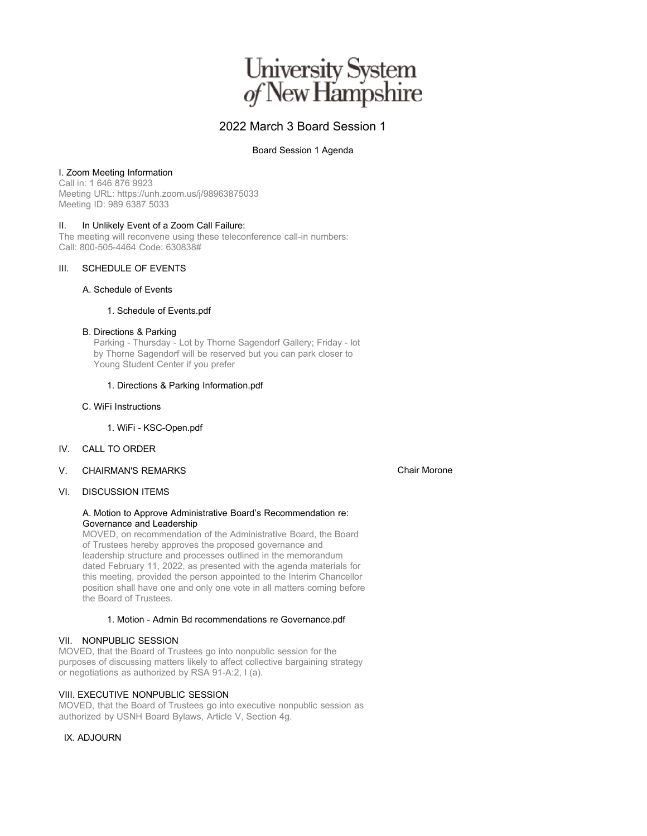# University System<br>of New Hampshire

## 2022 March 3 Board Session 1

#### Board Session 1 Agenda

#### I. Zoom Meeting Information

Call in: 1 646 876 9923 Meeting URL: https://unh.zoom.us/j/98963875033 Meeting ID: 989 6387 5033

#### II. In Unlikely Event of a Zoom Call Failure:

The meeting will reconvene using these teleconference call-in numbers: Call: 800-505-4464 Code: 630838#

### III. SCHEDULE OF EVENTS

#### A. Schedule of Events

#### 1. Schedule of Events.pdf

#### B. Directions & Parking

Parking - Thursday - Lot by Thorne Sagendorf Gallery; Friday - lot by Thorne Sagendorf will be reserved but you can park closer to Young Student Center if you prefer

#### 1. Directions & Parking Information.pdf

#### C. WiFi Instructions

1. WiFi - KSC-Open.pdf

- IV. CALL TO ORDER
- V. CHAIRMAN'S REMARKS

#### VI. DISCUSSION ITEMS

#### A. Motion to Approve Administrative Board's Recommendation re: Governance and Leadership

MOVED, on recommendation of the Administrative Board, the Board of Trustees hereby approves the proposed governance and leadership structure and processes outlined in the memorandum dated February 11, 2022, as presented with the agenda materials for this meeting, provided the person appointed to the Interim Chancellor position shall have one and only one vote in all matters coming before the Board of Trustees.

#### 1. Motion - Admin Bd recommendations re Governance.pdf

#### VII. NONPUBLIC SESSION

MOVED, that the Board of Trustees go into nonpublic session for the purposes of discussing matters likely to affect collective bargaining strategy or negotiations as authorized by RSA 91-A:2, I (a).

#### VIII. EXECUTIVE NONPUBLIC SESSION

MOVED, that the Board of Trustees go into executive nonpublic session as authorized by USNH Board Bylaws, Article V, Section 4g.

#### IX. ADJOURN

Chair Morone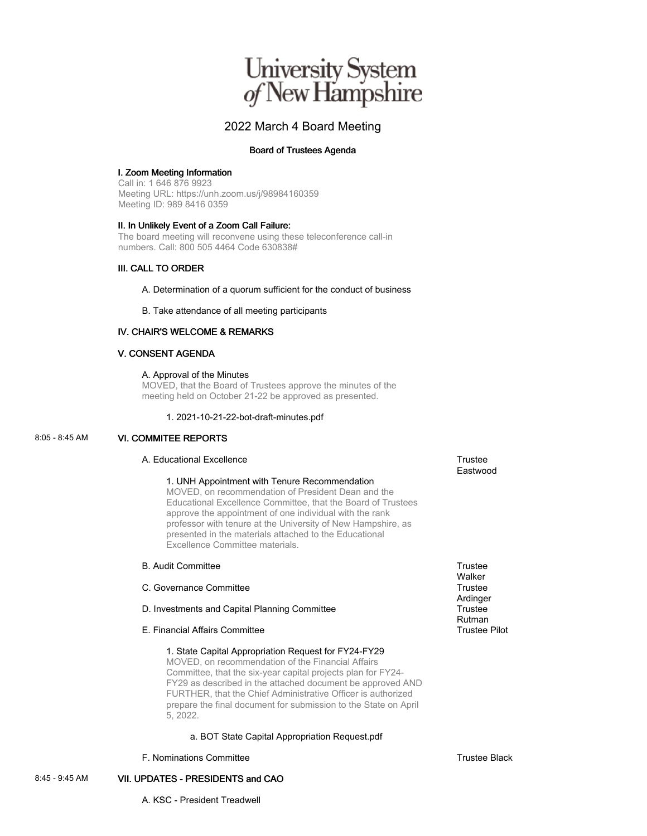# University System<br>of New Hampshire

### 2022 March 4 Board Meeting

#### Board of Trustees Agenda

#### I. Zoom Meeting Information

Call in: 1 646 876 9923 Meeting URL: https://unh.zoom.us/j/98984160359 Meeting ID: 989 8416 0359

#### II. In Unlikely Event of a Zoom Call Failure:

The board meeting will reconvene using these teleconference call-in numbers. Call: 800 505 4464 Code 630838#

#### III. CALL TO ORDER

A. Determination of a quorum sufficient for the conduct of business

B. Take attendance of all meeting participants

#### IV. CHAIR'S WELCOME & REMARKS

#### V. CONSENT AGENDA

#### A. Approval of the Minutes

MOVED, that the Board of Trustees approve the minutes of the meeting held on October 21-22 be approved as presented.

#### 1. 2021-10-21-22-bot-draft-minutes.pdf

#### 8:05 - 8:45 AM VI. COMMITEE REPORTS

#### A. Educational Excellence Trustee Trustee

#### 1. UNH Appointment with Tenure Recommendation

MOVED, on recommendation of President Dean and the Educational Excellence Committee, that the Board of Trustees approve the appointment of one individual with the rank professor with tenure at the University of New Hampshire, as presented in the materials attached to the Educational Excellence Committee materials.

#### B. Audit Committee Trustee

#### C. Governance Committee **Trustee** Trustee

- D. Investments and Capital Planning Committee Trustee
- E. Financial Affairs Committee Trustee Pilot Committee Trustee Pilot

#### 1. State Capital Appropriation Request for FY24-FY29

MOVED, on recommendation of the Financial Affairs Committee, that the six-year capital projects plan for FY24- FY29 as described in the attached document be approved AND FURTHER, that the Chief Administrative Officer is authorized prepare the final document for submission to the State on April 5, 2022.

#### a. BOT State Capital Appropriation Request.pdf

F. Nominations Committee Trustee Black

Eastwood

**Walker** 

Ardinger

Rutman

8:45 - 9:45 AM VII. UPDATES - PRESIDENTS and CAO